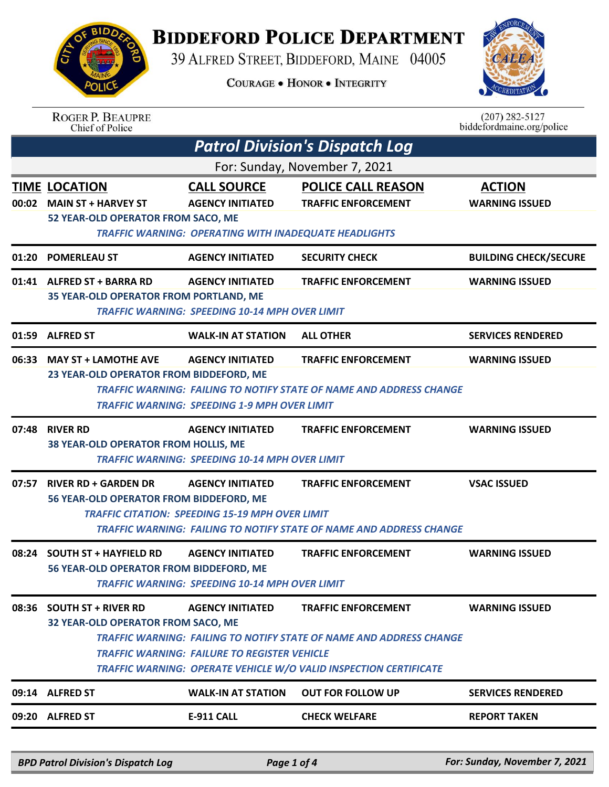

## **BIDDEFORD POLICE DEPARTMENT**

39 ALFRED STREET, BIDDEFORD, MAINE 04005

**COURAGE . HONOR . INTEGRITY** 



| <b>ROGER P. BEAUPRE</b> |
|-------------------------|
| Chief of Police         |

 $(207)$  282-5127 biddefordmaine.org/police

|                               | <b>Patrol Division's Dispatch Log</b>                                                                                                                                                                                                                                                                                                                        |                                                                                                               |                                                                                                          |                                        |  |  |
|-------------------------------|--------------------------------------------------------------------------------------------------------------------------------------------------------------------------------------------------------------------------------------------------------------------------------------------------------------------------------------------------------------|---------------------------------------------------------------------------------------------------------------|----------------------------------------------------------------------------------------------------------|----------------------------------------|--|--|
| For: Sunday, November 7, 2021 |                                                                                                                                                                                                                                                                                                                                                              |                                                                                                               |                                                                                                          |                                        |  |  |
|                               | <b>TIME LOCATION</b><br>00:02 MAIN ST + HARVEY ST<br>52 YEAR-OLD OPERATOR FROM SACO, ME                                                                                                                                                                                                                                                                      | <b>CALL SOURCE</b><br><b>AGENCY INITIATED</b><br><b>TRAFFIC WARNING: OPERATING WITH INADEQUATE HEADLIGHTS</b> | <b>POLICE CALL REASON</b><br><b>TRAFFIC ENFORCEMENT</b>                                                  | <b>ACTION</b><br><b>WARNING ISSUED</b> |  |  |
| 01:20                         | <b>POMERLEAU ST</b>                                                                                                                                                                                                                                                                                                                                          | <b>AGENCY INITIATED</b>                                                                                       | <b>SECURITY CHECK</b>                                                                                    | <b>BUILDING CHECK/SECURE</b>           |  |  |
|                               | 01:41 ALFRED ST + BARRA RD<br><b>35 YEAR-OLD OPERATOR FROM PORTLAND, ME</b>                                                                                                                                                                                                                                                                                  | <b>AGENCY INITIATED</b><br><b>TRAFFIC WARNING: SPEEDING 10-14 MPH OVER LIMIT</b>                              | <b>TRAFFIC ENFORCEMENT</b>                                                                               | <b>WARNING ISSUED</b>                  |  |  |
|                               | 01:59 ALFRED ST                                                                                                                                                                                                                                                                                                                                              | <b>WALK-IN AT STATION</b>                                                                                     | <b>ALL OTHER</b>                                                                                         | <b>SERVICES RENDERED</b>               |  |  |
|                               | 06:33 MAY ST + LAMOTHE AVE<br>23 YEAR-OLD OPERATOR FROM BIDDEFORD, ME                                                                                                                                                                                                                                                                                        | <b>AGENCY INITIATED</b><br><b>TRAFFIC WARNING: SPEEDING 1-9 MPH OVER LIMIT</b>                                | <b>TRAFFIC ENFORCEMENT</b><br><b>TRAFFIC WARNING: FAILING TO NOTIFY STATE OF NAME AND ADDRESS CHANGE</b> | <b>WARNING ISSUED</b>                  |  |  |
| 07:48                         | <b>RIVER RD</b><br>38 YEAR-OLD OPERATOR FROM HOLLIS, ME                                                                                                                                                                                                                                                                                                      | <b>AGENCY INITIATED</b><br><b>TRAFFIC WARNING: SPEEDING 10-14 MPH OVER LIMIT</b>                              | <b>TRAFFIC ENFORCEMENT</b>                                                                               | <b>WARNING ISSUED</b>                  |  |  |
| 07:57                         | <b>RIVER RD + GARDEN DR</b><br>56 YEAR-OLD OPERATOR FROM BIDDEFORD, ME                                                                                                                                                                                                                                                                                       | <b>AGENCY INITIATED</b><br><b>TRAFFIC CITATION: SPEEDING 15-19 MPH OVER LIMIT</b>                             | <b>TRAFFIC ENFORCEMENT</b><br><b>TRAFFIC WARNING: FAILING TO NOTIFY STATE OF NAME AND ADDRESS CHANGE</b> | <b>VSAC ISSUED</b>                     |  |  |
| 08:24                         | <b>SOUTH ST + HAYFIELD RD</b><br>56 YEAR-OLD OPERATOR FROM BIDDEFORD, ME                                                                                                                                                                                                                                                                                     | <b>AGENCY INITIATED</b><br>TRAFFIC WARNING: SPEEDING 10-14 MPH OVER LIMIT                                     | <b>TRAFFIC ENFORCEMENT</b>                                                                               | <b>WARNING ISSUED</b>                  |  |  |
| 08:36                         | <b>SOUTH ST + RIVER RD</b><br><b>AGENCY INITIATED</b><br><b>TRAFFIC ENFORCEMENT</b><br><b>WARNING ISSUED</b><br>32 YEAR-OLD OPERATOR FROM SACO, ME<br>TRAFFIC WARNING: FAILING TO NOTIFY STATE OF NAME AND ADDRESS CHANGE<br><b>TRAFFIC WARNING: FAILURE TO REGISTER VEHICLE</b><br><b>TRAFFIC WARNING: OPERATE VEHICLE W/O VALID INSPECTION CERTIFICATE</b> |                                                                                                               |                                                                                                          |                                        |  |  |
| 09:14                         | <b>ALFRED ST</b>                                                                                                                                                                                                                                                                                                                                             | <b>WALK-IN AT STATION</b>                                                                                     | <b>OUT FOR FOLLOW UP</b>                                                                                 | <b>SERVICES RENDERED</b>               |  |  |
|                               | 09:20 ALFRED ST                                                                                                                                                                                                                                                                                                                                              | <b>E-911 CALL</b>                                                                                             | <b>CHECK WELFARE</b>                                                                                     | <b>REPORT TAKEN</b>                    |  |  |
|                               | <b>BPD Patrol Division's Dispatch Log</b>                                                                                                                                                                                                                                                                                                                    | Page 1 of 4                                                                                                   |                                                                                                          | For: Sunday, November 7, 2021          |  |  |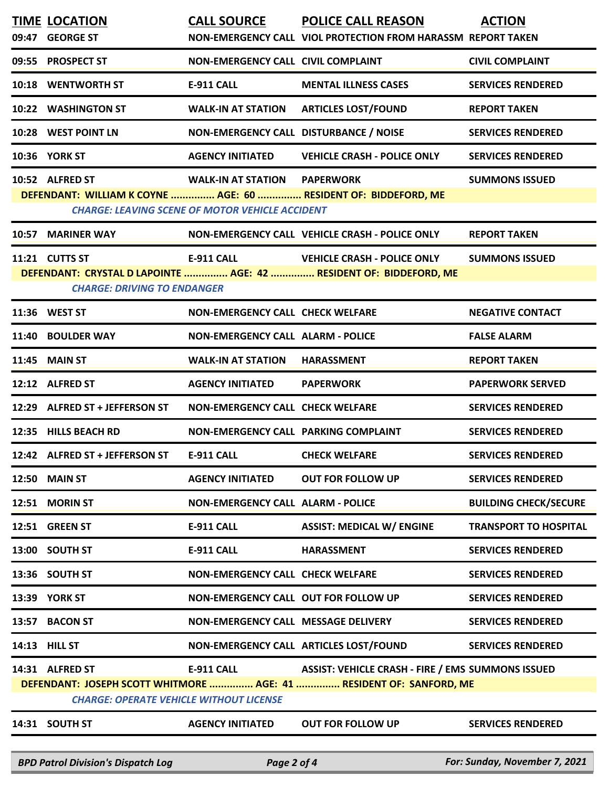|       | <b>TIME LOCATION</b><br>09:47 GEORGE ST                           | <b>CALL SOURCE</b>                                                                            | <b>POLICE CALL REASON</b><br>NON-EMERGENCY CALL VIOL PROTECTION FROM HARASSM REPORT TAKEN                                       | <b>ACTION</b>                 |
|-------|-------------------------------------------------------------------|-----------------------------------------------------------------------------------------------|---------------------------------------------------------------------------------------------------------------------------------|-------------------------------|
|       | 09:55 PROSPECT ST                                                 | NON-EMERGENCY CALL CIVIL COMPLAINT                                                            |                                                                                                                                 | <b>CIVIL COMPLAINT</b>        |
|       | 10:18 WENTWORTH ST                                                | <b>E-911 CALL</b>                                                                             | <b>MENTAL ILLNESS CASES</b>                                                                                                     | <b>SERVICES RENDERED</b>      |
|       | 10:22 WASHINGTON ST                                               | <b>WALK-IN AT STATION</b>                                                                     | <b>ARTICLES LOST/FOUND</b>                                                                                                      | <b>REPORT TAKEN</b>           |
|       | 10:28 WEST POINT LN                                               | NON-EMERGENCY CALL DISTURBANCE / NOISE                                                        |                                                                                                                                 | <b>SERVICES RENDERED</b>      |
|       | 10:36 YORK ST                                                     | <b>AGENCY INITIATED</b>                                                                       | <b>VEHICLE CRASH - POLICE ONLY</b>                                                                                              | <b>SERVICES RENDERED</b>      |
|       | 10:52 ALFRED ST                                                   | <b>WALK-IN AT STATION PAPERWORK</b><br><b>CHARGE: LEAVING SCENE OF MOTOR VEHICLE ACCIDENT</b> | DEFENDANT: WILLIAM K COYNE  AGE: 60  RESIDENT OF: BIDDEFORD, ME                                                                 | <b>SUMMONS ISSUED</b>         |
|       | 10:57 MARINER WAY                                                 |                                                                                               | NON-EMERGENCY CALL VEHICLE CRASH - POLICE ONLY                                                                                  | <b>REPORT TAKEN</b>           |
|       | 11:21 CUTTS ST<br><b>CHARGE: DRIVING TO ENDANGER</b>              | <b>E-911 CALL</b>                                                                             | <b>VEHICLE CRASH - POLICE ONLY</b><br>DEFENDANT: CRYSTAL D LAPOINTE  AGE: 42  RESIDENT OF: BIDDEFORD, ME                        | <b>SUMMONS ISSUED</b>         |
|       | 11:36 WEST ST                                                     | <b>NON-EMERGENCY CALL CHECK WELFARE</b>                                                       |                                                                                                                                 | <b>NEGATIVE CONTACT</b>       |
|       | 11:40 BOULDER WAY                                                 | <b>NON-EMERGENCY CALL ALARM - POLICE</b>                                                      |                                                                                                                                 | <b>FALSE ALARM</b>            |
|       | 11:45 MAIN ST                                                     | <b>WALK-IN AT STATION</b>                                                                     | <b>HARASSMENT</b>                                                                                                               | <b>REPORT TAKEN</b>           |
|       | 12:12 ALFRED ST                                                   | <b>AGENCY INITIATED</b>                                                                       | <b>PAPERWORK</b>                                                                                                                | <b>PAPERWORK SERVED</b>       |
|       | 12:29 ALFRED ST + JEFFERSON ST                                    | <b>NON-EMERGENCY CALL CHECK WELFARE</b>                                                       |                                                                                                                                 | <b>SERVICES RENDERED</b>      |
|       | 12:35 HILLS BEACH RD                                              | NON-EMERGENCY CALL PARKING COMPLAINT                                                          |                                                                                                                                 | <b>SERVICES RENDERED</b>      |
|       | 12:42 ALFRED ST + JEFFERSON ST                                    | <b>E-911 CALL</b>                                                                             | <b>CHECK WELFARE</b>                                                                                                            | <b>SERVICES RENDERED</b>      |
|       | <b>12:50 MAIN ST</b>                                              | <b>AGENCY INITIATED</b>                                                                       | <b>OUT FOR FOLLOW UP</b>                                                                                                        | <b>SERVICES RENDERED</b>      |
|       | 12:51 MORIN ST                                                    | <b>NON-EMERGENCY CALL ALARM - POLICE</b>                                                      |                                                                                                                                 | <b>BUILDING CHECK/SECURE</b>  |
|       | 12:51 GREEN ST                                                    | <b>E-911 CALL</b>                                                                             | <b>ASSIST: MEDICAL W/ ENGINE</b>                                                                                                | <b>TRANSPORT TO HOSPITAL</b>  |
|       | 13:00 SOUTH ST                                                    | <b>E-911 CALL</b>                                                                             | <b>HARASSMENT</b>                                                                                                               | <b>SERVICES RENDERED</b>      |
|       | 13:36 SOUTH ST                                                    | <b>NON-EMERGENCY CALL CHECK WELFARE</b>                                                       |                                                                                                                                 | <b>SERVICES RENDERED</b>      |
|       | 13:39 YORK ST                                                     | NON-EMERGENCY CALL OUT FOR FOLLOW UP                                                          |                                                                                                                                 | <b>SERVICES RENDERED</b>      |
| 13:57 | <b>BACON ST</b>                                                   | NON-EMERGENCY CALL MESSAGE DELIVERY                                                           |                                                                                                                                 | <b>SERVICES RENDERED</b>      |
|       | 14:13 HILL ST                                                     | NON-EMERGENCY CALL ARTICLES LOST/FOUND                                                        |                                                                                                                                 | <b>SERVICES RENDERED</b>      |
|       | 14:31 ALFRED ST<br><b>CHARGE: OPERATE VEHICLE WITHOUT LICENSE</b> | E-911 CALL                                                                                    | <b>ASSIST: VEHICLE CRASH - FIRE / EMS SUMMONS ISSUED</b><br>DEFENDANT: JOSEPH SCOTT WHITMORE  AGE: 41  RESIDENT OF: SANFORD, ME |                               |
|       | 14:31 SOUTH ST                                                    | <b>AGENCY INITIATED</b>                                                                       | <b>OUT FOR FOLLOW UP</b>                                                                                                        | <b>SERVICES RENDERED</b>      |
|       | <b>BPD Patrol Division's Dispatch Log</b>                         | Page 2 of 4                                                                                   |                                                                                                                                 | For: Sunday, November 7, 2021 |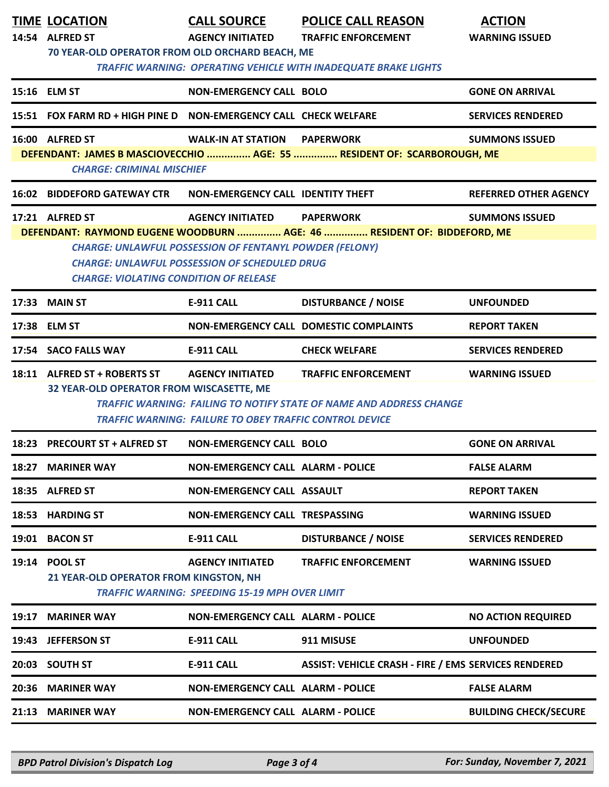|       | <b>TIME LOCATION</b><br>14:54 ALFRED ST<br>70 YEAR-OLD OPERATOR FROM OLD ORCHARD BEACH, ME                                                                                                                                                                                                                                                    | <b>CALL SOURCE</b><br><b>AGENCY INITIATED</b>                                             | <b>POLICE CALL REASON</b><br><b>TRAFFIC ENFORCEMENT</b><br><b>TRAFFIC WARNING: OPERATING VEHICLE WITH INADEQUATE BRAKE LIGHTS</b> | <b>ACTION</b><br><b>WARNING ISSUED</b> |  |  |
|-------|-----------------------------------------------------------------------------------------------------------------------------------------------------------------------------------------------------------------------------------------------------------------------------------------------------------------------------------------------|-------------------------------------------------------------------------------------------|-----------------------------------------------------------------------------------------------------------------------------------|----------------------------------------|--|--|
|       | 15:16 ELM ST                                                                                                                                                                                                                                                                                                                                  | <b>NON-EMERGENCY CALL BOLO</b>                                                            |                                                                                                                                   | <b>GONE ON ARRIVAL</b>                 |  |  |
|       | 15:51 FOX FARM RD + HIGH PINE D NON-EMERGENCY CALL CHECK WELFARE                                                                                                                                                                                                                                                                              |                                                                                           |                                                                                                                                   | <b>SERVICES RENDERED</b>               |  |  |
|       | 16:00 ALFRED ST<br><b>CHARGE: CRIMINAL MISCHIEF</b>                                                                                                                                                                                                                                                                                           | <b>WALK-IN AT STATION</b>                                                                 | <b>PAPERWORK</b><br>DEFENDANT: JAMES B MASCIOVECCHIO  AGE: 55  RESIDENT OF: SCARBOROUGH, ME                                       | <b>SUMMONS ISSUED</b>                  |  |  |
|       | <b>16:02 BIDDEFORD GATEWAY CTR</b>                                                                                                                                                                                                                                                                                                            | NON-EMERGENCY CALL IDENTITY THEFT                                                         |                                                                                                                                   | <b>REFERRED OTHER AGENCY</b>           |  |  |
|       | 17:21 ALFRED ST<br><b>AGENCY INITIATED</b><br><b>PAPERWORK</b><br><b>SUMMONS ISSUED</b><br>DEFENDANT: RAYMOND EUGENE WOODBURN  AGE: 46  RESIDENT OF: BIDDEFORD, ME<br><b>CHARGE: UNLAWFUL POSSESSION OF FENTANYL POWDER (FELONY)</b><br><b>CHARGE: UNLAWFUL POSSESSION OF SCHEDULED DRUG</b><br><b>CHARGE: VIOLATING CONDITION OF RELEASE</b> |                                                                                           |                                                                                                                                   |                                        |  |  |
|       | <b>17:33 MAIN ST</b>                                                                                                                                                                                                                                                                                                                          | <b>E-911 CALL</b>                                                                         | <b>DISTURBANCE / NOISE</b>                                                                                                        | <b>UNFOUNDED</b>                       |  |  |
|       | 17:38 ELM ST                                                                                                                                                                                                                                                                                                                                  |                                                                                           | NON-EMERGENCY CALL DOMESTIC COMPLAINTS                                                                                            | <b>REPORT TAKEN</b>                    |  |  |
|       | 17:54 SACO FALLS WAY                                                                                                                                                                                                                                                                                                                          | <b>E-911 CALL</b>                                                                         | <b>CHECK WELFARE</b>                                                                                                              | <b>SERVICES RENDERED</b>               |  |  |
|       | 18:11 ALFRED ST + ROBERTS ST<br>32 YEAR-OLD OPERATOR FROM WISCASETTE, ME                                                                                                                                                                                                                                                                      | <b>AGENCY INITIATED</b><br><b>TRAFFIC WARNING: FAILURE TO OBEY TRAFFIC CONTROL DEVICE</b> | <b>TRAFFIC ENFORCEMENT</b><br><b>TRAFFIC WARNING: FAILING TO NOTIFY STATE OF NAME AND ADDRESS CHANGE</b>                          | <b>WARNING ISSUED</b>                  |  |  |
|       | 18:23 PRECOURT ST + ALFRED ST                                                                                                                                                                                                                                                                                                                 | <b>NON-EMERGENCY CALL BOLO</b>                                                            |                                                                                                                                   | <b>GONE ON ARRIVAL</b>                 |  |  |
|       | 18:27 MARINER WAY                                                                                                                                                                                                                                                                                                                             | <b>NON-EMERGENCY CALL ALARM - POLICE</b>                                                  |                                                                                                                                   | <b>FALSE ALARM</b>                     |  |  |
|       | 18:35 ALFRED ST                                                                                                                                                                                                                                                                                                                               | NON-EMERGENCY CALL ASSAULT                                                                |                                                                                                                                   | <b>REPORT TAKEN</b>                    |  |  |
|       | 18:53 HARDING ST                                                                                                                                                                                                                                                                                                                              | <b>NON-EMERGENCY CALL TRESPASSING</b>                                                     |                                                                                                                                   | <b>WARNING ISSUED</b>                  |  |  |
|       | 19:01 BACON ST                                                                                                                                                                                                                                                                                                                                | E-911 CALL                                                                                | <b>DISTURBANCE / NOISE</b>                                                                                                        | <b>SERVICES RENDERED</b>               |  |  |
|       | 19:14 POOL ST<br>21 YEAR-OLD OPERATOR FROM KINGSTON, NH                                                                                                                                                                                                                                                                                       | <b>AGENCY INITIATED</b><br><b>TRAFFIC WARNING: SPEEDING 15-19 MPH OVER LIMIT</b>          | <b>TRAFFIC ENFORCEMENT</b>                                                                                                        | <b>WARNING ISSUED</b>                  |  |  |
| 19:17 | <b>MARINER WAY</b>                                                                                                                                                                                                                                                                                                                            | <b>NON-EMERGENCY CALL ALARM - POLICE</b>                                                  |                                                                                                                                   | <b>NO ACTION REQUIRED</b>              |  |  |
| 19:43 | <b>JEFFERSON ST</b>                                                                                                                                                                                                                                                                                                                           | E-911 CALL                                                                                | 911 MISUSE                                                                                                                        | <b>UNFOUNDED</b>                       |  |  |
|       | 20:03 SOUTH ST                                                                                                                                                                                                                                                                                                                                | <b>E-911 CALL</b>                                                                         | <b>ASSIST: VEHICLE CRASH - FIRE / EMS SERVICES RENDERED</b>                                                                       |                                        |  |  |
|       | 20:36 MARINER WAY                                                                                                                                                                                                                                                                                                                             | <b>NON-EMERGENCY CALL ALARM - POLICE</b>                                                  |                                                                                                                                   | <b>FALSE ALARM</b>                     |  |  |
|       | 21:13 MARINER WAY                                                                                                                                                                                                                                                                                                                             | <b>NON-EMERGENCY CALL ALARM - POLICE</b>                                                  |                                                                                                                                   | <b>BUILDING CHECK/SECURE</b>           |  |  |